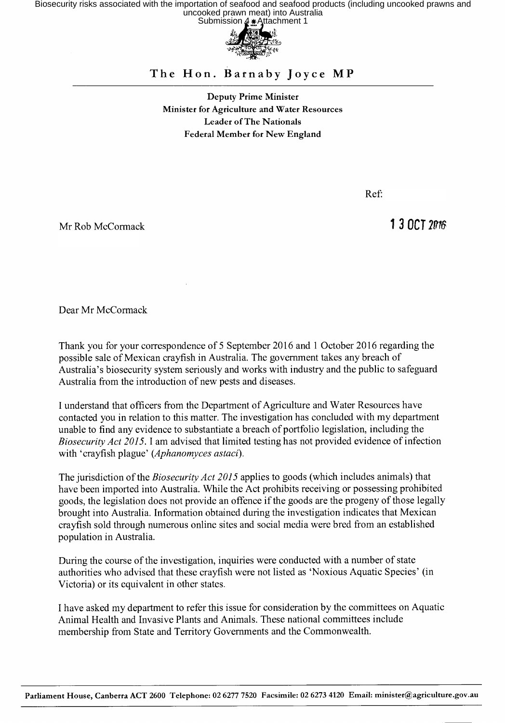Biosecurity risks associated with the importation of seafood and seafood products (including uncooked prawns and<br>uncooked prawn meat) into Australia<br>Submission 4 + Attachment 1



## The Hon. Barnaby Joyce MP

Deputy Prime Minister Minister for Agriculture and Water Resources Leader of The Nationals Federal Member for New England

Ref:

Mr Rob McCormack **13 OCT** 2016

Dear Mr McCormack

Thank you for your correspondence of 5 September 2016 and 1 October 2016 regarding the possible sale of Mexican crayfish in Australia. The government takes any breach of Australia's biosecurity system seriously and works with industry and the public to safeguard Australia from the introduction of new pests and diseases.

I understand that officers from the Department of Agriculture and Water Resources have contacted you in relation to this matter. The investigation has concluded with my department unable to find any evidence to substantiate a breach of portfolio legislation, including the *Biosecurity Act 2015.* I am advised that limited testing has not provided evidence of infection with 'crayfish plague' *(Aphanomyces astaci).* 

The jurisdiction of the *Biosecurity Act 2015* applies to goods (which includes animals) that have been imported into Australia. While the Act prohibits receiving or possessing prohibited goods, the legislation does not provide an offence if the goods are the progeny of those legally brought into Australia. Information obtained during the investigation indicates that Mexican crayfish sold through numerous online sites and social media were bred from an established population in Australia.

During the course of the investigation, inquiries were conducted with a number of state authorities who advised that these crayfish were not listed as 'Noxious Aquatic Species' (in Victoria) or its equivalent in other states.

I have asked my department to refer this issue for consideration by the committees on Aquatic Animal Health and Invasive Plants and Animals. These national committees include membership from State and Territory Governments and the Commonwealth.

Parliament House, Canberra ACT 2600 Telephone: 02 6277 7520 Facsimile: 02 6273 4120 Email: minister@agriculture.gov.au